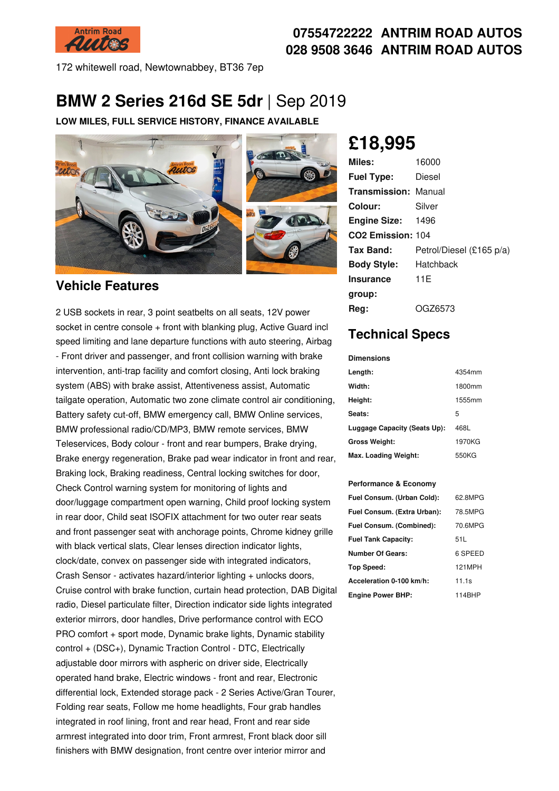

## **07554722222 ANTRIM ROAD AUTOS 028 9508 3646 ANTRIM ROAD AUTOS**

172 whitewell road, Newtownabbey, BT36 7ep

# **BMW 2 Series 216d SE 5dr** |Sep 2019

**LOW MILES, FULL SERVICE HISTORY, FINANCE AVAILABLE**



## **Vehicle Features**

2 USB sockets in rear, 3 point seatbelts on all seats, 12V power socket in centre console + front with blanking plug, Active Guard incl speed limiting and lane departure functions with auto steering, Airbag - Front driver and passenger, and front collision warning with brake intervention, anti-trap facility and comfort closing, Anti lock braking system (ABS) with brake assist, Attentiveness assist, Automatic tailgate operation, Automatic two zone climate control air conditioning, Battery safety cut-off, BMW emergency call, BMW Online services, BMW professional radio/CD/MP3, BMW remote services, BMW Teleservices, Body colour - front and rear bumpers, Brake drying, Brake energy regeneration, Brake pad wear indicator in front and rear, Braking lock, Braking readiness, Central locking switches for door, Check Control warning system for monitoring of lights and door/luggage compartment open warning, Child proof locking system in rear door, Child seat ISOFIX attachment for two outer rear seats and front passenger seat with anchorage points, Chrome kidney grille with black vertical slats, Clear lenses direction indicator lights, clock/date, convex on passenger side with integrated indicators, Crash Sensor - activates hazard/interior lighting + unlocks doors, Cruise control with brake function, curtain head protection, DAB Digital radio, Diesel particulate filter, Direction indicator side lights integrated exterior mirrors, door handles, Drive performance control with ECO PRO comfort + sport mode, Dynamic brake lights, Dynamic stability control + (DSC+), Dynamic Traction Control - DTC, Electrically adjustable door mirrors with aspheric on driver side, Electrically operated hand brake, Electric windows - front and rear, Electronic differential lock, Extended storage pack - 2 Series Active/Gran Tourer, Folding rear seats, Follow me home headlights, Four grab handles integrated in roof lining, front and rear head, Front and rear side armrest integrated into door trim, Front armrest, Front black door sill finishers with BMW designation, front centre over interior mirror and

# **£18,995**

| <b>Miles:</b>                 | 16000                    |
|-------------------------------|--------------------------|
| <b>Fuel Type:</b>             | Diesel                   |
| <b>Transmission: Manual</b>   |                          |
| Colour:                       | Silver                   |
| <b>Engine Size:</b>           | 1496                     |
| CO <sub>2</sub> Emission: 104 |                          |
| Tax Band:                     | Petrol/Diesel (£165 p/a) |
| <b>Body Style:</b>            | Hatchback                |
| <b>Insurance</b>              | 11E                      |
| group:                        |                          |
| Reg:                          | OGZ6573                  |

# **Technical Specs**

**Dimensions**

| Length:                      | 4354mm |
|------------------------------|--------|
| Width:                       | 1800mm |
| Height:                      | 1555mm |
| Seats:                       | 5      |
| Luggage Capacity (Seats Up): | 468L   |
| <b>Gross Weight:</b>         | 1970KG |
| Max. Loading Weight:         | 550KG  |

#### **Performance & Economy**

| Fuel Consum. (Urban Cold):  | 62.8MPG |
|-----------------------------|---------|
| Fuel Consum. (Extra Urban): | 78.5MPG |
| Fuel Consum. (Combined):    | 70.6MPG |
| <b>Fuel Tank Capacity:</b>  | 51 L    |
| <b>Number Of Gears:</b>     | 6 SPEED |
| Top Speed:                  | 121MPH  |
| Acceleration 0-100 km/h:    | 11.1s   |
| <b>Engine Power BHP:</b>    | 114BHP  |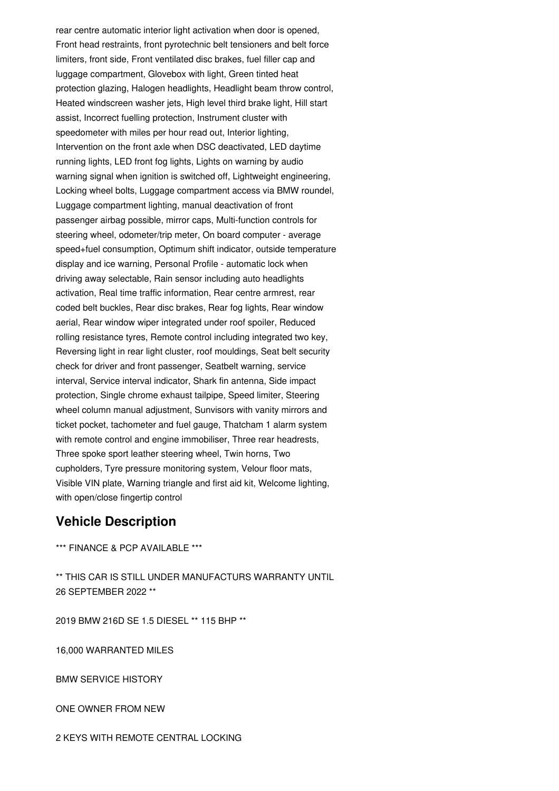rear centre automatic interior light activation when door is opened, Front head restraints, front pyrotechnic belt tensioners and belt force limiters, front side, Front ventilated disc brakes, fuel filler cap and luggage compartment, Glovebox with light, Green tinted heat protection glazing, Halogen headlights, Headlight beam throw control, Heated windscreen washer jets, High level third brake light, Hill start assist, Incorrect fuelling protection, Instrument cluster with speedometer with miles per hour read out, Interior lighting, Intervention on the front axle when DSC deactivated, LED daytime running lights, LED front fog lights, Lights on warning by audio warning signal when ignition is switched off, Lightweight engineering, Locking wheel bolts, Luggage compartment access via BMW roundel, Luggage compartment lighting, manual deactivation of front passenger airbag possible, mirror caps, Multi-function controls for steering wheel, odometer/trip meter, On board computer - average speed+fuel consumption, Optimum shift indicator, outside temperature display and ice warning, Personal Profile - automatic lock when driving away selectable, Rain sensor including auto headlights activation, Real time traffic information, Rear centre armrest, rear coded belt buckles, Rear disc brakes, Rear fog lights, Rear window aerial, Rear window wiper integrated under roof spoiler, Reduced rolling resistance tyres, Remote control including integrated two key, Reversing light in rear light cluster, roof mouldings, Seat belt security check for driver and front passenger, Seatbelt warning, service interval, Service interval indicator, Shark fin antenna, Side impact protection, Single chrome exhaust tailpipe, Speed limiter, Steering wheel column manual adjustment, Sunvisors with vanity mirrors and ticket pocket, tachometer and fuel gauge, Thatcham 1 alarm system with remote control and engine immobiliser. Three rear headrests, Three spoke sport leather steering wheel, Twin horns, Two cupholders, Tyre pressure monitoring system, Velour floor mats, Visible VIN plate, Warning triangle and first aid kit, Welcome lighting, with open/close fingertip control

## **Vehicle Description**

\*\*\* FINANCE & PCP AVAILABLE \*\*\*

\*\* THIS CAR IS STILL UNDER MANUFACTURS WARRANTY UNTIL 26 SEPTEMBER 2022 \*\*

2019 BMW 216D SE 1.5 DIESEL \*\* 115 BHP \*\*

16,000 WARRANTED MILES

BMW SERVICE HISTORY

ONE OWNER FROM NEW

2 KEYS WITH REMOTE CENTRAL LOCKING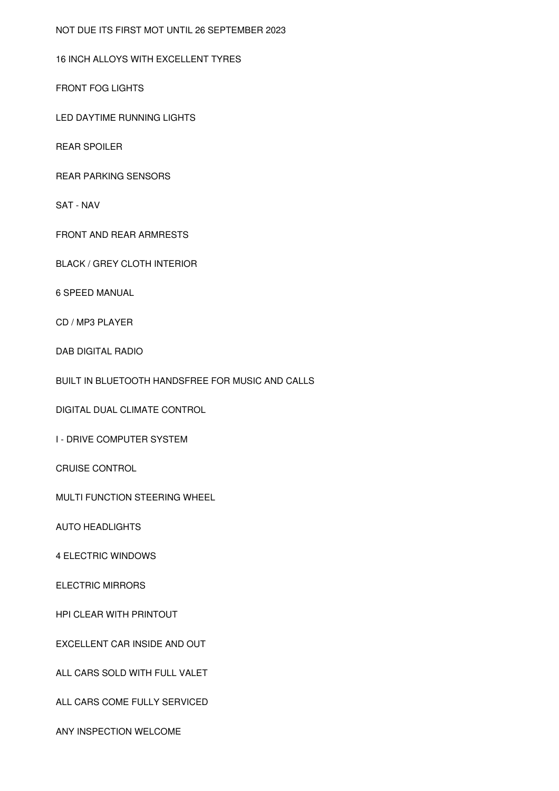NOT DUE ITS FIRST MOT UNTIL 26 SEPTEMBER 2023

## 16 INCH ALLOYS WITH EXCELLENT TYRES

FRONT FOG LIGHTS

LED DAYTIME RUNNING LIGHTS

REAR SPOILER

REAR PARKING SENSORS

SAT - NAV

FRONT AND REAR ARMRESTS

BLACK / GREY CLOTH INTERIOR

6 SPEED MANUAL

CD / MP3 PLAYER

DAB DIGITAL RADIO

BUILT IN BLUETOOTH HANDSFREE FOR MUSIC AND CALLS

DIGITAL DUAL CLIMATE CONTROL

I - DRIVE COMPUTER SYSTEM

CRUISE CONTROL

MULTI FUNCTION STEERING WHEEL

AUTO HEADLIGHTS

4 ELECTRIC WINDOWS

ELECTRIC MIRRORS

HPI CLEAR WITH PRINTOUT

EXCELLENT CAR INSIDE AND OUT

ALL CARS SOLD WITH FULL VALET

ALL CARS COME FULLY SERVICED

ANY INSPECTION WELCOME